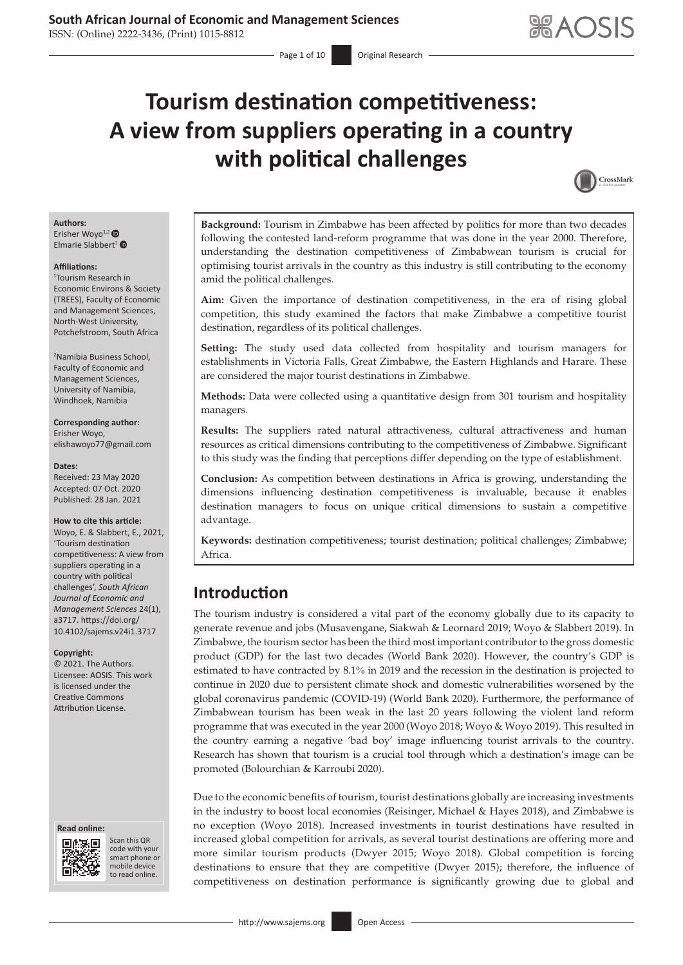# **Tourism destination competitiveness: A view from suppliers operating in a country with political challenges**



# **Authors:**

Erisher Woyo<sup>1,2</sup> Elmarie Slabbert<sup>1</sup>

#### **Affiliations:**

1 Tourism Research in Economic Environs & Society (TREES), Faculty of Economic and Management Sciences, North-West University, Potchefstroom, South Africa

2 Namibia Business School, Faculty of Economic and Management Sciences, University of Namibia, Windhoek, Namibia

#### **Corresponding author:** Erisher Woyo, [elishawoyo77@gmail.com](mailto:elishawoyo77@gmail.com)

### **Dates:**

Received: 23 May 2020 Accepted: 07 Oct. 2020 Published: 28 Jan. 2021

#### **How to cite this article:**

Woyo, E. & Slabbert, E., 2021, 'Tourism destination competitiveness: A view from suppliers operating in a country with political challenges', *South African Journal of Economic and Management Sciences* 24(1), a3717. [https://doi.org/](https://doi.org/10.4102/sajems.v24i1.3717) [10.4102/sajems.v24i1.3717](https://doi.org/10.4102/sajems.v24i1.3717)

#### **Copyright:**

© 2021. The Authors. Licensee: AOSIS. This work is licensed under the Creative Commons Attribution License.

#### **Read online: Read online:**



Scan this QR code with your Scan this QR<br>code with your<br>smart phone or<br>mobile device mobile device to read online. to read online.

**Background:** Tourism in Zimbabwe has been affected by politics for more than two decades following the contested land-reform programme that was done in the year 2000. Therefore, understanding the destination competitiveness of Zimbabwean tourism is crucial for optimising tourist arrivals in the country as this industry is still contributing to the economy amid the political challenges.

**Aim:** Given the importance of destination competitiveness, in the era of rising global competition, this study examined the factors that make Zimbabwe a competitive tourist destination, regardless of its political challenges.

**Setting:** The study used data collected from hospitality and tourism managers for establishments in Victoria Falls, Great Zimbabwe, the Eastern Highlands and Harare. These are considered the major tourist destinations in Zimbabwe.

**Methods:** Data were collected using a quantitative design from 301 tourism and hospitality managers.

**Results:** The suppliers rated natural attractiveness, cultural attractiveness and human resources as critical dimensions contributing to the competitiveness of Zimbabwe. Significant to this study was the finding that perceptions differ depending on the type of establishment.

**Conclusion:** As competition between destinations in Africa is growing, understanding the dimensions influencing destination competitiveness is invaluable, because it enables destination managers to focus on unique critical dimensions to sustain a competitive advantage.

**Keywords:** destination competitiveness; tourist destination; political challenges; Zimbabwe; Africa.

# **Introduction**

The tourism industry is considered a vital part of the economy globally due to its capacity to generate revenue and jobs (Musavengane, Siakwah & Leornard 2019; Woyo & Slabbert 2019). In Zimbabwe, the tourism sector has been the third most important contributor to the gross domestic product (GDP) for the last two decades (World Bank 2020). However, the country's GDP is estimated to have contracted by 8.1% in 2019 and the recession in the destination is projected to continue in 2020 due to persistent climate shock and domestic vulnerabilities worsened by the global coronavirus pandemic (COVID-19) (World Bank 2020). Furthermore, the performance of Zimbabwean tourism has been weak in the last 20 years following the violent land reform programme that was executed in the year 2000 (Woyo 2018; Woyo & Woyo 2019). This resulted in the country earning a negative 'bad boy' image influencing tourist arrivals to the country. Research has shown that tourism is a crucial tool through which a destination's image can be promoted (Bolourchian & Karroubi 2020).

Due to the economic benefits of tourism, tourist destinations globally are increasing investments in the industry to boost local economies (Reisinger, Michael & Hayes 2018), and Zimbabwe is no exception (Woyo 2018). Increased investments in tourist destinations have resulted in increased global competition for arrivals, as several tourist destinations are offering more and more similar tourism products (Dwyer 2015; Woyo 2018). Global competition is forcing destinations to ensure that they are competitive (Dwyer 2015); therefore, the influence of competitiveness on destination performance is significantly growing due to global and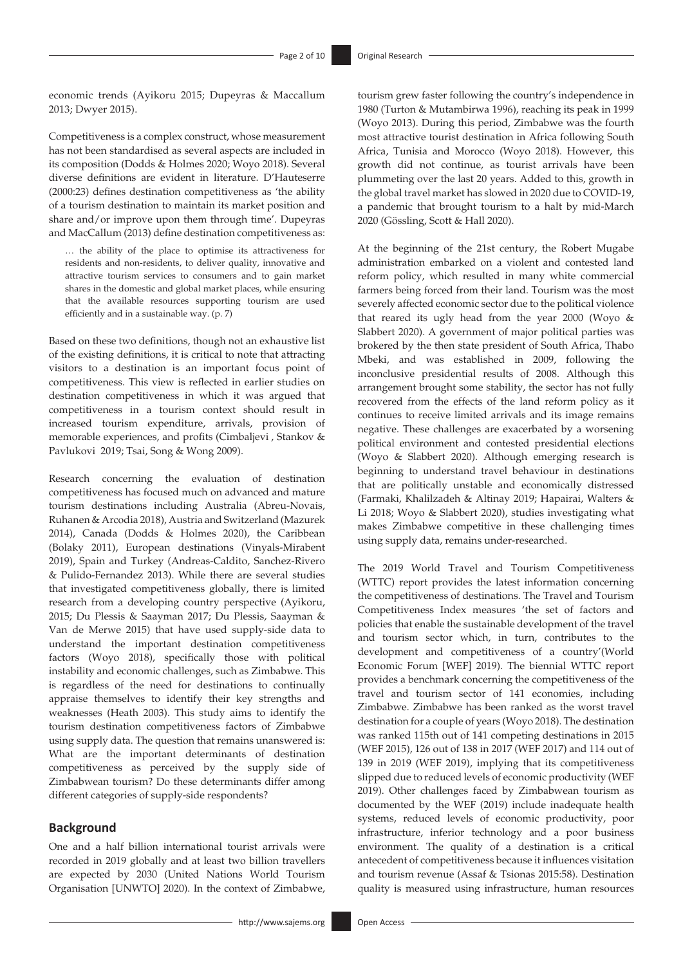economic trends (Ayikoru 2015; Dupeyras & Maccallum 2013; Dwyer 2015).

Competitiveness is a complex construct, whose measurement has not been standardised as several aspects are included in its composition (Dodds & Holmes 2020; Woyo 2018). Several diverse definitions are evident in literature. D'Hauteserre (2000:23) defines destination competitiveness as 'the ability of a tourism destination to maintain its market position and share and/or improve upon them through time'. Dupeyras and MacCallum (2013) define destination competitiveness as:

… the ability of the place to optimise its attractiveness for residents and non-residents, to deliver quality, innovative and attractive tourism services to consumers and to gain market shares in the domestic and global market places, while ensuring that the available resources supporting tourism are used efficiently and in a sustainable way. (p. 7)

Based on these two definitions, though not an exhaustive list of the existing definitions, it is critical to note that attracting visitors to a destination is an important focus point of competitiveness. This view is reflected in earlier studies on destination competitiveness in which it was argued that competitiveness in a tourism context should result in increased tourism expenditure, arrivals, provision of memorable experiences, and profits (Cimbaljevi, Stankov & Pavlukovi 2019; Tsai, Song & Wong 2009).

Research concerning the evaluation of destination competitiveness has focused much on advanced and mature tourism destinations including Australia (Abreu-Novais, Ruhanen & Arcodia 2018), Austria and Switzerland (Mazurek 2014), Canada (Dodds & Holmes 2020), the Caribbean (Bolaky 2011), European destinations (Vinyals-Mirabent 2019), Spain and Turkey (Andreas-Caldito, Sanchez-Rivero & Pulido-Fernandez 2013). While there are several studies that investigated competitiveness globally, there is limited research from a developing country perspective (Ayikoru, 2015; Du Plessis & Saayman 2017; Du Plessis, Saayman & Van de Merwe 2015) that have used supply-side data to understand the important destination competitiveness factors (Woyo 2018), specifically those with political instability and economic challenges, such as Zimbabwe. This is regardless of the need for destinations to continually appraise themselves to identify their key strengths and weaknesses (Heath 2003). This study aims to identify the tourism destination competitiveness factors of Zimbabwe using supply data. The question that remains unanswered is: What are the important determinants of destination competitiveness as perceived by the supply side of Zimbabwean tourism? Do these determinants differ among different categories of supply-side respondents?

### **Background**

One and a half billion international tourist arrivals were recorded in 2019 globally and at least two billion travellers are expected by 2030 (United Nations World Tourism Organisation [UNWTO] 2020). In the context of Zimbabwe,

tourism grew faster following the country's independence in 1980 (Turton & Mutambirwa 1996), reaching its peak in 1999 (Woyo 2013). During this period, Zimbabwe was the fourth most attractive tourist destination in Africa following South Africa, Tunisia and Morocco (Woyo 2018). However, this growth did not continue, as tourist arrivals have been plummeting over the last 20 years. Added to this, growth in the global travel market has slowed in 2020 due to COVID-19, a pandemic that brought tourism to a halt by mid-March 2020 (Gössling, Scott & Hall 2020).

At the beginning of the 21st century, the Robert Mugabe administration embarked on a violent and contested land reform policy, which resulted in many white commercial farmers being forced from their land. Tourism was the most severely affected economic sector due to the political violence that reared its ugly head from the year 2000 (Woyo & Slabbert 2020). A government of major political parties was brokered by the then state president of South Africa, Thabo Mbeki, and was established in 2009, following the inconclusive presidential results of 2008. Although this arrangement brought some stability, the sector has not fully recovered from the effects of the land reform policy as it continues to receive limited arrivals and its image remains negative. These challenges are exacerbated by a worsening political environment and contested presidential elections (Woyo & Slabbert 2020). Although emerging research is beginning to understand travel behaviour in destinations that are politically unstable and economically distressed (Farmaki, Khalilzadeh & Altinay 2019; Hapairai, Walters & Li 2018; Woyo & Slabbert 2020), studies investigating what makes Zimbabwe competitive in these challenging times using supply data, remains under-researched.

The 2019 World Travel and Tourism Competitiveness (WTTC) report provides the latest information concerning the competitiveness of destinations. The Travel and Tourism Competitiveness Index measures 'the set of factors and policies that enable the sustainable development of the travel and tourism sector which, in turn, contributes to the development and competitiveness of a country'(World Economic Forum [WEF] 2019). The biennial WTTC report provides a benchmark concerning the competitiveness of the travel and tourism sector of 141 economies, including Zimbabwe. Zimbabwe has been ranked as the worst travel destination for a couple of years (Woyo 2018). The destination was ranked 115th out of 141 competing destinations in 2015 (WEF 2015), 126 out of 138 in 2017 (WEF 2017) and 114 out of 139 in 2019 (WEF 2019), implying that its competitiveness slipped due to reduced levels of economic productivity (WEF 2019). Other challenges faced by Zimbabwean tourism as documented by the WEF (2019) include inadequate health systems, reduced levels of economic productivity, poor infrastructure, inferior technology and a poor business environment. The quality of a destination is a critical antecedent of competitiveness because it influences visitation and tourism revenue (Assaf & Tsionas 2015:58). Destination quality is measured using infrastructure, human resources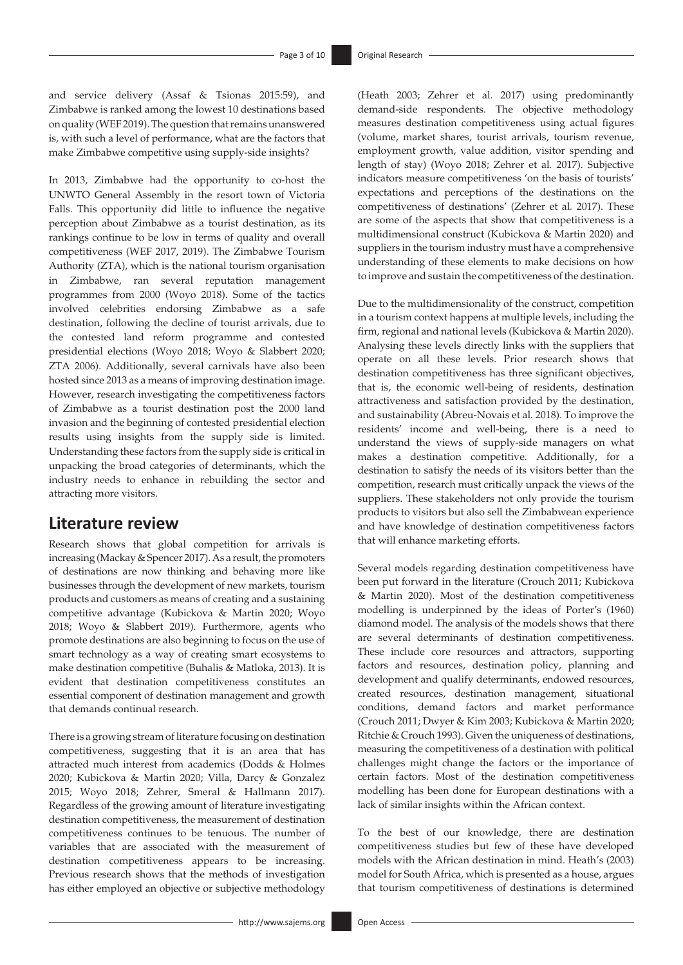and service delivery (Assaf & Tsionas 2015:59), and Zimbabwe is ranked among the lowest 10 destinations based on quality (WEF 2019). The question that remains unanswered is, with such a level of performance, what are the factors that make Zimbabwe competitive using supply-side insights?

In 2013, Zimbabwe had the opportunity to co-host the UNWTO General Assembly in the resort town of Victoria Falls. This opportunity did little to influence the negative perception about Zimbabwe as a tourist destination, as its rankings continue to be low in terms of quality and overall competitiveness (WEF 2017, 2019). The Zimbabwe Tourism Authority (ZTA), which is the national tourism organisation in Zimbabwe, ran several reputation management programmes from 2000 (Woyo 2018). Some of the tactics involved celebrities endorsing Zimbabwe as a safe destination, following the decline of tourist arrivals, due to the contested land reform programme and contested presidential elections (Woyo 2018; Woyo & Slabbert 2020; ZTA 2006). Additionally, several carnivals have also been hosted since 2013 as a means of improving destination image. However, research investigating the competitiveness factors of Zimbabwe as a tourist destination post the 2000 land invasion and the beginning of contested presidential election results using insights from the supply side is limited. Understanding these factors from the supply side is critical in unpacking the broad categories of determinants, which the industry needs to enhance in rebuilding the sector and attracting more visitors.

# **Literature review**

Research shows that global competition for arrivals is increasing (Mackay & Spencer 2017). As a result, the promoters of destinations are now thinking and behaving more like businesses through the development of new markets, tourism products and customers as means of creating and a sustaining competitive advantage (Kubickova & Martin 2020; Woyo 2018; Woyo & Slabbert 2019). Furthermore, agents who promote destinations are also beginning to focus on the use of smart technology as a way of creating smart ecosystems to make destination competitive (Buhalis & Matloka, 2013). It is evident that destination competitiveness constitutes an essential component of destination management and growth that demands continual research.

There is a growing stream of literature focusing on destination competitiveness, suggesting that it is an area that has attracted much interest from academics (Dodds & Holmes 2020; Kubickova & Martin 2020; Villa, Darcy & Gonzalez 2015; Woyo 2018; Zehrer, Smeral & Hallmann 2017). Regardless of the growing amount of literature investigating destination competitiveness, the measurement of destination competitiveness continues to be tenuous. The number of variables that are associated with the measurement of destination competitiveness appears to be increasing. Previous research shows that the methods of investigation has either employed an objective or subjective methodology

(Heath 2003; Zehrer et al*.* 2017) using predominantly demand-side respondents. The objective methodology measures destination competitiveness using actual figures (volume, market shares, tourist arrivals, tourism revenue, employment growth, value addition, visitor spending and length of stay) (Woyo 2018; Zehrer et al*.* 2017). Subjective indicators measure competitiveness 'on the basis of tourists' expectations and perceptions of the destinations on the competitiveness of destinations' (Zehrer et al*.* 2017). These are some of the aspects that show that competitiveness is a multidimensional construct (Kubickova & Martin 2020) and suppliers in the tourism industry must have a comprehensive understanding of these elements to make decisions on how to improve and sustain the competitiveness of the destination.

Due to the multidimensionality of the construct, competition in a tourism context happens at multiple levels, including the firm, regional and national levels (Kubickova & Martin 2020). Analysing these levels directly links with the suppliers that operate on all these levels. Prior research shows that destination competitiveness has three significant objectives, that is, the economic well-being of residents, destination attractiveness and satisfaction provided by the destination, and sustainability (Abreu-Novais et al*.* 2018). To improve the residents' income and well-being, there is a need to understand the views of supply-side managers on what makes a destination competitive. Additionally, for a destination to satisfy the needs of its visitors better than the competition, research must critically unpack the views of the suppliers. These stakeholders not only provide the tourism products to visitors but also sell the Zimbabwean experience and have knowledge of destination competitiveness factors that will enhance marketing efforts.

Several models regarding destination competitiveness have been put forward in the literature (Crouch 2011; Kubickova & Martin 2020). Most of the destination competitiveness modelling is underpinned by the ideas of Porter's (1960) diamond model. The analysis of the models shows that there are several determinants of destination competitiveness. These include core resources and attractors, supporting factors and resources, destination policy, planning and development and qualify determinants, endowed resources, created resources, destination management, situational conditions, demand factors and market performance (Crouch 2011; Dwyer & Kim 2003; Kubickova & Martin 2020; Ritchie & Crouch 1993). Given the uniqueness of destinations, measuring the competitiveness of a destination with political challenges might change the factors or the importance of certain factors. Most of the destination competitiveness modelling has been done for European destinations with a lack of similar insights within the African context.

To the best of our knowledge, there are destination competitiveness studies but few of these have developed models with the African destination in mind. Heath's (2003) model for South Africa, which is presented as a house, argues that tourism competitiveness of destinations is determined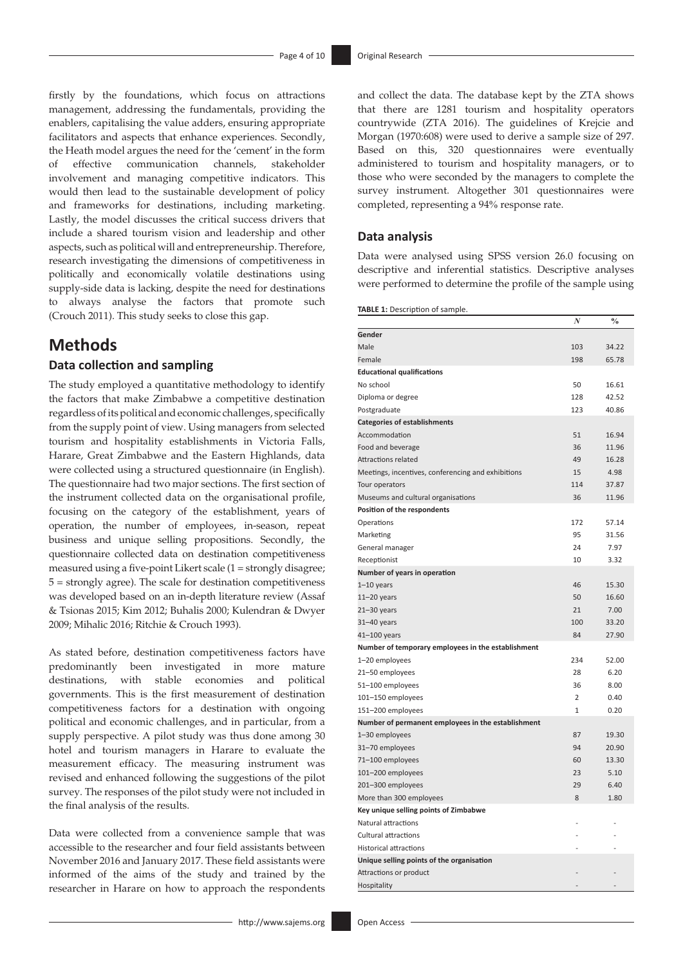firstly by the foundations, which focus on attractions management, addressing the fundamentals, providing the enablers, capitalising the value adders, ensuring appropriate facilitators and aspects that enhance experiences. Secondly, the Heath model argues the need for the 'cement' in the form of effective communication channels, stakeholder involvement and managing competitive indicators. This would then lead to the sustainable development of policy and frameworks for destinations, including marketing. Lastly, the model discusses the critical success drivers that include a shared tourism vision and leadership and other aspects, such as political will and entrepreneurship. Therefore, research investigating the dimensions of competitiveness in politically and economically volatile destinations using supply-side data is lacking, despite the need for destinations to always analyse the factors that promote such (Crouch 2011). This study seeks to close this gap.

# **Methods**

### **Data collection and sampling**

The study employed a quantitative methodology to identify the factors that make Zimbabwe a competitive destination regardless of its political and economic challenges, specifically from the supply point of view. Using managers from selected tourism and hospitality establishments in Victoria Falls, Harare, Great Zimbabwe and the Eastern Highlands, data were collected using a structured questionnaire (in English). The questionnaire had two major sections. The first section of the instrument collected data on the organisational profile, focusing on the category of the establishment, years of operation, the number of employees, in-season, repeat business and unique selling propositions. Secondly, the questionnaire collected data on destination competitiveness measured using a five-point Likert scale (1 = strongly disagree; 5 = strongly agree). The scale for destination competitiveness was developed based on an in-depth literature review (Assaf & Tsionas 2015; Kim 2012; Buhalis 2000; Kulendran & Dwyer 2009; Mihalic 2016; Ritchie & Crouch 1993).

As stated before, destination competitiveness factors have predominantly been investigated in more mature destinations, with stable economies and political governments. This is the first measurement of destination competitiveness factors for a destination with ongoing political and economic challenges, and in particular, from a supply perspective. A pilot study was thus done among 30 hotel and tourism managers in Harare to evaluate the measurement efficacy. The measuring instrument was revised and enhanced following the suggestions of the pilot survey. The responses of the pilot study were not included in the final analysis of the results.

Data were collected from a convenience sample that was accessible to the researcher and four field assistants between November 2016 and January 2017. These field assistants were informed of the aims of the study and trained by the researcher in Harare on how to approach the respondents

and collect the data. The database kept by the ZTA shows that there are 1281 tourism and hospitality operators countrywide (ZTA 2016). The guidelines of Krejcie and Morgan (1970:608) were used to derive a sample size of 297. Based on this, 320 questionnaires were eventually administered to tourism and hospitality managers, or to those who were seconded by the managers to complete the survey instrument. Altogether 301 questionnaires were completed, representing a 94% response rate.

#### **Data analysis**

Data were analysed using SPSS version 26.0 focusing on descriptive and inferential statistics. Descriptive analyses were performed to determine the profile of the sample using

|  |  | TABLE 1: Description of sample. |  |  |  |
|--|--|---------------------------------|--|--|--|
|--|--|---------------------------------|--|--|--|

| ᅠ<br><b>1.</b> Description or sample.              | N              | $\frac{0}{0}$ |
|----------------------------------------------------|----------------|---------------|
| Gender                                             |                |               |
| Male                                               | 103            | 34.22         |
| Female                                             | 198            | 65.78         |
| <b>Educational qualifications</b>                  |                |               |
| No school                                          | 50             | 16.61         |
| Diploma or degree                                  | 128            | 42.52         |
| Postgraduate                                       | 123            | 40.86         |
| <b>Categories of establishments</b>                |                |               |
| Accommodation                                      | 51             | 16.94         |
| Food and beverage                                  | 36             | 11.96         |
| <b>Attractions related</b>                         | 49             | 16.28         |
| Meetings, incentives, conferencing and exhibitions | 15             | 4.98          |
| Tour operators                                     | 114            | 37.87         |
| Museums and cultural organisations                 | 36             | 11.96         |
| Position of the respondents                        |                |               |
| Operations                                         | 172            | 57.14         |
| Marketing                                          | 95             | 31.56         |
| General manager                                    | 24             | 7.97          |
| Receptionist                                       | 10             | 3.32          |
| Number of years in operation                       |                |               |
| $1-10$ years                                       | 46             | 15.30         |
| $11-20$ years                                      | 50             | 16.60         |
| $21 - 30$ years                                    | 21             | 7.00          |
| 31-40 years                                        | 100            | 33.20         |
| 41-100 years                                       | 84             | 27.90         |
| Number of temporary employees in the establishment |                |               |
| 1-20 employees                                     | 234            | 52.00         |
| 21-50 employees                                    | 28             | 6.20          |
| 51-100 employees                                   | 36             | 8.00          |
| 101-150 employees                                  | $\overline{2}$ | 0.40          |
| 151-200 employees                                  | $\mathbf{1}$   | 0.20          |
| Number of permanent employees in the establishment |                |               |
| 1-30 employees                                     | 87             | 19.30         |
| 31-70 employees                                    | 94             | 20.90         |
| 71-100 employees                                   | 60             | 13.30         |
| 101-200 employees                                  | 23             | 5.10          |
| 201-300 employees                                  | 29             | 6.40          |
| More than 300 employees                            | 8              | 1.80          |
| Key unique selling points of Zimbabwe              |                |               |
| Natural attractions                                |                |               |
| <b>Cultural attractions</b>                        |                |               |
| <b>Historical attractions</b>                      |                |               |
| Unique selling points of the organisation          |                |               |
| Attractions or product                             |                |               |
| Hospitality                                        |                |               |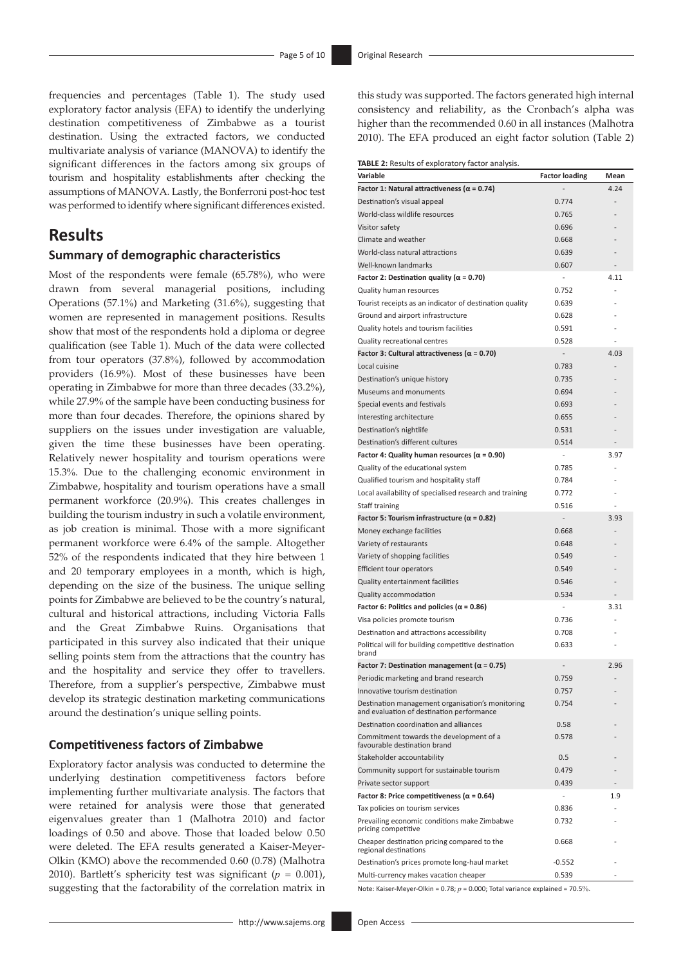frequencies and percentages (Table 1). The study used exploratory factor analysis (EFA) to identify the underlying destination competitiveness of Zimbabwe as a tourist destination. Using the extracted factors, we conducted multivariate analysis of variance (MANOVA) to identify the significant differences in the factors among six groups of tourism and hospitality establishments after checking the assumptions of MANOVA. Lastly, the Bonferroni post-hoc test was performed to identify where significant differences existed.

### **Results**

### **Summary of demographic characteristics**

Most of the respondents were female (65.78%), who were drawn from several managerial positions, including Operations (57.1%) and Marketing (31.6%), suggesting that women are represented in management positions. Results show that most of the respondents hold a diploma or degree qualification (see Table 1). Much of the data were collected from tour operators (37.8%), followed by accommodation providers (16.9%). Most of these businesses have been operating in Zimbabwe for more than three decades (33.2%), while 27.9% of the sample have been conducting business for more than four decades. Therefore, the opinions shared by suppliers on the issues under investigation are valuable, given the time these businesses have been operating. Relatively newer hospitality and tourism operations were 15.3%. Due to the challenging economic environment in Zimbabwe, hospitality and tourism operations have a small permanent workforce (20.9%). This creates challenges in building the tourism industry in such a volatile environment, as job creation is minimal. Those with a more significant permanent workforce were 6.4% of the sample. Altogether 52% of the respondents indicated that they hire between 1 and 20 temporary employees in a month, which is high, depending on the size of the business. The unique selling points for Zimbabwe are believed to be the country's natural, cultural and historical attractions, including Victoria Falls and the Great Zimbabwe Ruins. Organisations that participated in this survey also indicated that their unique selling points stem from the attractions that the country has and the hospitality and service they offer to travellers. Therefore, from a supplier's perspective, Zimbabwe must develop its strategic destination marketing communications around the destination's unique selling points.

### **Competitiveness factors of Zimbabwe**

Exploratory factor analysis was conducted to determine the underlying destination competitiveness factors before implementing further multivariate analysis. The factors that were retained for analysis were those that generated eigenvalues greater than 1 (Malhotra 2010) and factor loadings of 0.50 and above. Those that loaded below 0.50 were deleted. The EFA results generated a Kaiser-Meyer-Olkin (KMO) above the recommended 0.60 (0.78) (Malhotra 2010). Bartlett's sphericity test was significant  $(p = 0.001)$ , suggesting that the factorability of the correlation matrix in this study was supported. The factors generated high internal consistency and reliability, as the Cronbach's alpha was higher than the recommended 0.60 in all instances (Malhotra 2010). The EFA produced an eight factor solution (Table 2)

**TABLE 2:** Results of exploratory factor analysis.

| Variable                                                                                      | <b>Factor loading</b> | Mean           |
|-----------------------------------------------------------------------------------------------|-----------------------|----------------|
| Factor 1: Natural attractiveness ( $\alpha$ = 0.74)                                           |                       | 4.24           |
| Destination's visual appeal                                                                   | 0.774                 |                |
| World-class wildlife resources                                                                | 0.765                 |                |
| Visitor safety                                                                                | 0.696                 |                |
| Climate and weather                                                                           | 0.668                 |                |
| World-class natural attractions                                                               | 0.639                 |                |
| Well-known landmarks                                                                          | 0.607                 |                |
| Factor 2: Destination quality ( $\alpha$ = 0.70)                                              | $\overline{a}$        | 4.11           |
| Quality human resources                                                                       | 0.752                 | $\overline{a}$ |
| Tourist receipts as an indicator of destination quality                                       | 0.639                 |                |
| Ground and airport infrastructure                                                             | 0.628                 |                |
| Quality hotels and tourism facilities                                                         | 0.591                 |                |
| Quality recreational centres                                                                  | 0.528                 |                |
| Factor 3: Cultural attractiveness ( $\alpha$ = 0.70)                                          | $\overline{a}$        | 4.03           |
| Local cuisine                                                                                 | 0.783                 | $\overline{a}$ |
| Destination's unique history                                                                  | 0.735                 |                |
| Museums and monuments                                                                         | 0.694                 |                |
| Special events and festivals                                                                  | 0.693                 |                |
| Interesting architecture                                                                      | 0.655                 |                |
| Destination's nightlife                                                                       | 0.531                 |                |
| Destination's different cultures                                                              | 0.514                 |                |
| Factor 4: Quality human resources ( $\alpha$ = 0.90)                                          | $\frac{1}{2}$         | 3.97           |
| Quality of the educational system                                                             | 0.785                 |                |
| Qualified tourism and hospitality staff                                                       | 0.784                 |                |
| Local availability of specialised research and training                                       | 0.772                 |                |
| Staff training                                                                                | 0.516                 |                |
| Factor 5: Tourism infrastructure ( $\alpha$ = 0.82)                                           | $\overline{a}$        | 3.93           |
| Money exchange facilities                                                                     | 0.668                 | $\overline{a}$ |
| Variety of restaurants                                                                        | 0.648                 |                |
| Variety of shopping facilities                                                                | 0.549                 |                |
| Efficient tour operators                                                                      | 0.549                 |                |
| Quality entertainment facilities                                                              | 0.546                 |                |
| Quality accommodation                                                                         | 0.534                 |                |
| Factor 6: Politics and policies ( $\alpha$ = 0.86)                                            | $\overline{a}$        | 3.31           |
| Visa policies promote tourism                                                                 | 0.736                 |                |
| Destination and attractions accessibility                                                     | 0.708                 |                |
| Political will for building competitive destination                                           | 0.633                 | $\overline{a}$ |
| brand                                                                                         |                       |                |
| Factor 7: Destination management ( $\alpha$ = 0.75)                                           |                       | 2.96           |
| Periodic marketing and brand research                                                         | 0.759                 | L,             |
| Innovative tourism destination                                                                | 0.757                 |                |
| Destination management organisation's monitoring<br>and evaluation of destination performance | 0.754                 |                |
| Destination coordination and alliances                                                        | 0.58                  |                |
| Commitment towards the development of a<br>favourable destination brand                       | 0.578                 |                |
| Stakeholder accountability                                                                    | 0.5                   |                |
| Community support for sustainable tourism                                                     | 0.479                 |                |
| Private sector support                                                                        | 0.439                 |                |
| Factor 8: Price competitiveness ( $\alpha$ = 0.64)                                            | $\overline{a}$        | 1.9            |
| Tax policies on tourism services                                                              | 0.836                 |                |
| Prevailing economic conditions make Zimbabwe<br>pricing competitive                           | 0.732                 |                |
| Cheaper destination pricing compared to the<br>regional destinations                          | 0.668                 |                |
| Destination's prices promote long-haul market                                                 | -0.552                |                |
| Multi-currency makes vacation cheaper                                                         | 0.539                 |                |

Note: Kaiser-Meyer-Olkin = 0.78; *p* = 0.000; Total variance explained = 70.5%.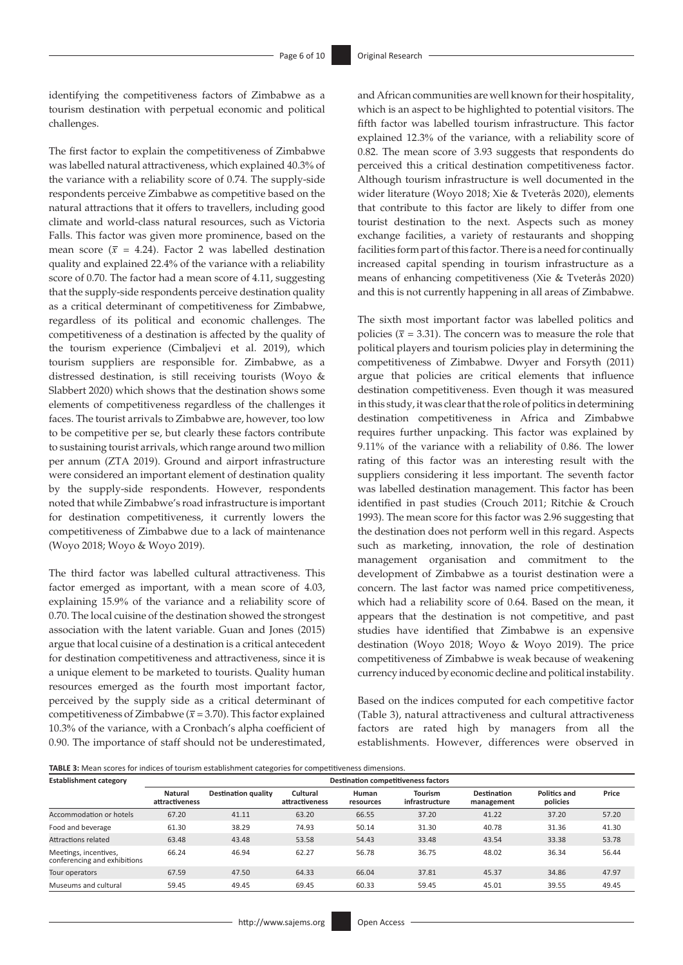identifying the competitiveness factors of Zimbabwe as a tourism destination with perpetual economic and political challenges.

The first factor to explain the competitiveness of Zimbabwe was labelled natural attractiveness, which explained 40.3% of the variance with a reliability score of 0.74. The supply-side respondents perceive Zimbabwe as competitive based on the natural attractions that it offers to travellers, including good climate and world-class natural resources, such as Victoria Falls. This factor was given more prominence, based on the mean score ( $\bar{x}$  = 4.24). Factor 2 was labelled destination quality and explained 22.4% of the variance with a reliability score of 0.70. The factor had a mean score of 4.11, suggesting that the supply-side respondents perceive destination quality as a critical determinant of competitiveness for Zimbabwe, regardless of its political and economic challenges. The competitiveness of a destination is affected by the quality of the tourism experience (Cimbaljevi et al. 2019), which tourism suppliers are responsible for. Zimbabwe, as a distressed destination, is still receiving tourists (Woyo & Slabbert 2020) which shows that the destination shows some elements of competitiveness regardless of the challenges it faces. The tourist arrivals to Zimbabwe are, however, too low to be competitive per se, but clearly these factors contribute to sustaining tourist arrivals, which range around two million per annum (ZTA 2019). Ground and airport infrastructure were considered an important element of destination quality by the supply-side respondents. However, respondents noted that while Zimbabwe's road infrastructure is important for destination competitiveness, it currently lowers the competitiveness of Zimbabwe due to a lack of maintenance (Woyo 2018; Woyo & Woyo 2019).

The third factor was labelled cultural attractiveness. This factor emerged as important, with a mean score of 4.03, explaining 15.9% of the variance and a reliability score of 0.70. The local cuisine of the destination showed the strongest association with the latent variable. Guan and Jones (2015) argue that local cuisine of a destination is a critical antecedent for destination competitiveness and attractiveness, since it is a unique element to be marketed to tourists. Quality human resources emerged as the fourth most important factor, perceived by the supply side as a critical determinant of competitiveness of Zimbabwe ( $\overline{x}$  = 3.70). This factor explained 10.3% of the variance, with a Cronbach's alpha coefficient of 0.90. The importance of staff should not be underestimated,

and African communities are well known for their hospitality, which is an aspect to be highlighted to potential visitors. The fifth factor was labelled tourism infrastructure. This factor explained 12.3% of the variance, with a reliability score of 0.82. The mean score of 3.93 suggests that respondents do perceived this a critical destination competitiveness factor. Although tourism infrastructure is well documented in the wider literature (Woyo 2018; Xie & Tveterås 2020), elements that contribute to this factor are likely to differ from one tourist destination to the next. Aspects such as money exchange facilities, a variety of restaurants and shopping facilities form part of this factor. There is a need for continually increased capital spending in tourism infrastructure as a means of enhancing competitiveness (Xie & Tveterås 2020) and this is not currently happening in all areas of Zimbabwe.

The sixth most important factor was labelled politics and policies ( $\bar{x}$  = 3.31). The concern was to measure the role that political players and tourism policies play in determining the competitiveness of Zimbabwe. Dwyer and Forsyth (2011) argue that policies are critical elements that influence destination competitiveness. Even though it was measured in this study, it was clear that the role of politics in determining destination competitiveness in Africa and Zimbabwe requires further unpacking. This factor was explained by 9.11% of the variance with a reliability of 0.86. The lower rating of this factor was an interesting result with the suppliers considering it less important. The seventh factor was labelled destination management. This factor has been identified in past studies (Crouch 2011; Ritchie & Crouch 1993). The mean score for this factor was 2.96 suggesting that the destination does not perform well in this regard. Aspects such as marketing, innovation, the role of destination management organisation and commitment to the development of Zimbabwe as a tourist destination were a concern. The last factor was named price competitiveness, which had a reliability score of 0.64. Based on the mean, it appears that the destination is not competitive, and past studies have identified that Zimbabwe is an expensive destination (Woyo 2018; Woyo & Woyo 2019). The price competitiveness of Zimbabwe is weak because of weakening currency induced by economic decline and political instability.

Based on the indices computed for each competitive factor (Table 3), natural attractiveness and cultural attractiveness factors are rated high by managers from all the establishments. However, differences were observed in

**TABLE 3:** Mean scores for indices of tourism establishment categories for competitiveness dimensions.

| <b>Establishment category</b>                         | $\sim$<br><b>Destination competitiveness factors</b> |                            |                            |                    |                                  |                           |                                 |       |  |  |
|-------------------------------------------------------|------------------------------------------------------|----------------------------|----------------------------|--------------------|----------------------------------|---------------------------|---------------------------------|-------|--|--|
|                                                       | <b>Natural</b><br>attractiveness                     | <b>Destination quality</b> | Cultural<br>attractiveness | Human<br>resources | <b>Tourism</b><br>infrastructure | Destination<br>management | <b>Politics and</b><br>policies | Price |  |  |
| Accommodation or hotels                               | 67.20                                                | 41.11                      | 63.20                      | 66.55              | 37.20                            | 41.22                     | 37.20                           | 57.20 |  |  |
| Food and beverage                                     | 61.30                                                | 38.29                      | 74.93                      | 50.14              | 31.30                            | 40.78                     | 31.36                           | 41.30 |  |  |
| Attractions related                                   | 63.48                                                | 43.48                      | 53.58                      | 54.43              | 33.48                            | 43.54                     | 33.38                           | 53.78 |  |  |
| Meetings, incentives,<br>conferencing and exhibitions | 66.24                                                | 46.94                      | 62.27                      | 56.78              | 36.75                            | 48.02                     | 36.34                           | 56.44 |  |  |
| Tour operators                                        | 67.59                                                | 47.50                      | 64.33                      | 66.04              | 37.81                            | 45.37                     | 34.86                           | 47.97 |  |  |
| Museums and cultural                                  | 59.45                                                | 49.45                      | 69.45                      | 60.33              | 59.45                            | 45.01                     | 39.55                           | 49.45 |  |  |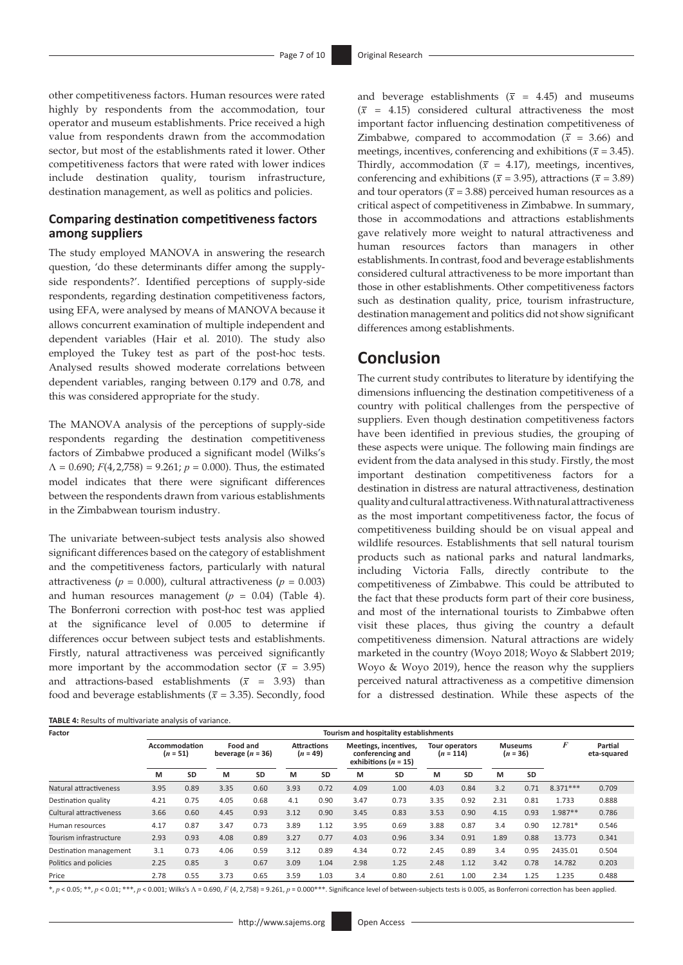other competitiveness factors. Human resources were rated highly by respondents from the accommodation, tour operator and museum establishments. Price received a high value from respondents drawn from the accommodation sector, but most of the establishments rated it lower. Other competitiveness factors that were rated with lower indices include destination quality, tourism infrastructure, destination management, as well as politics and policies.

### **Comparing destination competitiveness factors among suppliers**

The study employed MANOVA in answering the research question, 'do these determinants differ among the supplyside respondents?'. Identified perceptions of supply-side respondents, regarding destination competitiveness factors, using EFA, were analysed by means of MANOVA because it allows concurrent examination of multiple independent and dependent variables (Hair et al. 2010). The study also employed the Tukey test as part of the post-hoc tests. Analysed results showed moderate correlations between dependent variables, ranging between 0.179 and 0.78, and this was considered appropriate for the study.

The MANOVA analysis of the perceptions of supply-side respondents regarding the destination competitiveness factors of Zimbabwe produced a significant model (Wilks's Λ = 0.690; *F*(4, 2,758) = 9.261; *p* = 0.000). Thus, the estimated model indicates that there were significant differences between the respondents drawn from various establishments in the Zimbabwean tourism industry.

The univariate between-subject tests analysis also showed significant differences based on the category of establishment and the competitiveness factors, particularly with natural attractiveness ( $p = 0.000$ ), cultural attractiveness ( $p = 0.003$ ) and human resources management (*p =* 0.04) (Table 4). The Bonferroni correction with post-hoc test was applied at the significance level of 0.005 to determine if differences occur between subject tests and establishments. Firstly, natural attractiveness was perceived significantly more important by the accommodation sector ( $\bar{x}$  = 3.95) and attractions-based establishments ( $\bar{x}$  = 3.93) than food and beverage establishments ( $\bar{x}$  = 3.35). Secondly, food

| TABLE 4: Results of multivariate analysis of variance. |
|--------------------------------------------------------|
|--------------------------------------------------------|

and beverage establishments ( $\bar{x}$  = 4.45) and museums  $(\bar{x}$  = 4.15) considered cultural attractiveness the most important factor influencing destination competitiveness of Zimbabwe, compared to accommodation ( $\bar{x}$  = 3.66) and meetings, incentives, conferencing and exhibitions ( $\bar{x}$  = 3.45). Thirdly, accommodation ( $\bar{x}$  = 4.17), meetings, incentives, conferencing and exhibitions ( $\bar{x}$  = 3.95), attractions ( $\bar{x}$  = 3.89) and tour operators ( $\bar{x}$  = 3.88) perceived human resources as a critical aspect of competitiveness in Zimbabwe. In summary, those in accommodations and attractions establishments gave relatively more weight to natural attractiveness and human resources factors than managers in other establishments. In contrast, food and beverage establishments considered cultural attractiveness to be more important than those in other establishments. Other competitiveness factors such as destination quality, price, tourism infrastructure, destination management and politics did not show significant differences among establishments.

### **Conclusion**

The current study contributes to literature by identifying the dimensions influencing the destination competitiveness of a country with political challenges from the perspective of suppliers. Even though destination competitiveness factors have been identified in previous studies, the grouping of these aspects were unique. The following main findings are evident from the data analysed in this study. Firstly, the most important destination competitiveness factors for a destination in distress are natural attractiveness, destination quality and cultural attractiveness. With natural attractiveness as the most important competitiveness factor, the focus of competitiveness building should be on visual appeal and wildlife resources. Establishments that sell natural tourism products such as national parks and natural landmarks, including Victoria Falls, directly contribute to the competitiveness of Zimbabwe. This could be attributed to the fact that these products form part of their core business, and most of the international tourists to Zimbabwe often visit these places, thus giving the country a default competitiveness dimension. Natural attractions are widely marketed in the country (Woyo 2018; Woyo & Slabbert 2019; Woyo & Woyo 2019), hence the reason why the suppliers perceived natural attractiveness as a competitive dimension for a distressed destination. While these aspects of the

| Factor                  | Tourism and hospitality establishments |           |                                 |      |                                  |      |                                                                       |      |                               |      |                              |           |            |                        |
|-------------------------|----------------------------------------|-----------|---------------------------------|------|----------------------------------|------|-----------------------------------------------------------------------|------|-------------------------------|------|------------------------------|-----------|------------|------------------------|
|                         | Accommodation<br>$(n = 51)$            |           | Food and<br>beverage $(n = 36)$ |      | <b>Attractions</b><br>$(n = 49)$ |      | Meetings, incentives,<br>conferencing and<br>exhibitions ( $n = 15$ ) |      | Tour operators<br>$(n = 114)$ |      | <b>Museums</b><br>$(n = 36)$ |           | F          | Partial<br>eta-squared |
|                         | м                                      | <b>SD</b> | м                               | SD   | M                                | SD   | М                                                                     | SD   | м                             | SD   | м                            | <b>SD</b> |            |                        |
| Natural attractiveness  | 3.95                                   | 0.89      | 3.35                            | 0.60 | 3.93                             | 0.72 | 4.09                                                                  | 1.00 | 4.03                          | 0.84 | 3.2                          | 0.71      | $8.371***$ | 0.709                  |
| Destination quality     | 4.21                                   | 0.75      | 4.05                            | 0.68 | 4.1                              | 0.90 | 3.47                                                                  | 0.73 | 3.35                          | 0.92 | 2.31                         | 0.81      | 1.733      | 0.888                  |
| Cultural attractiveness | 3.66                                   | 0.60      | 4.45                            | 0.93 | 3.12                             | 0.90 | 3.45                                                                  | 0.83 | 3.53                          | 0.90 | 4.15                         | 0.93      | $1.987**$  | 0.786                  |
| Human resources         | 4.17                                   | 0.87      | 3.47                            | 0.73 | 3.89                             | 1.12 | 3.95                                                                  | 0.69 | 3.88                          | 0.87 | 3.4                          | 0.90      | 12.781*    | 0.546                  |
| Tourism infrastructure  | 2.93                                   | 0.93      | 4.08                            | 0.89 | 3.27                             | 0.77 | 4.03                                                                  | 0.96 | 3.34                          | 0.91 | 1.89                         | 0.88      | 13.773     | 0.341                  |
| Destination management  | 3.1                                    | 0.73      | 4.06                            | 0.59 | 3.12                             | 0.89 | 4.34                                                                  | 0.72 | 2.45                          | 0.89 | 3.4                          | 0.95      | 2435.01    | 0.504                  |
| Politics and policies   | 2.25                                   | 0.85      | 3                               | 0.67 | 3.09                             | 1.04 | 2.98                                                                  | 1.25 | 2.48                          | 1.12 | 3.42                         | 0.78      | 14.782     | 0.203                  |
| Price                   | 2.78                                   | 0.55      | 3.73                            | 0.65 | 3.59                             | 1.03 | 3.4                                                                   | 0.80 | 2.61                          | 1.00 | 2.34                         | 1.25      | 1.235      | 0.488                  |

\*,  $p < 0.05$ ; \*\*,  $p < 0.01$ ; \*\*\*,  $p < 0.001$ ; Wilks's  $\Lambda = 0.690$ ,  $F(4, 2,758) = 9.261$ ,  $p = 0.000$ \*\*\*. Significance level of between-subjects tests is 0.005, as Bonferroni correction has been applied.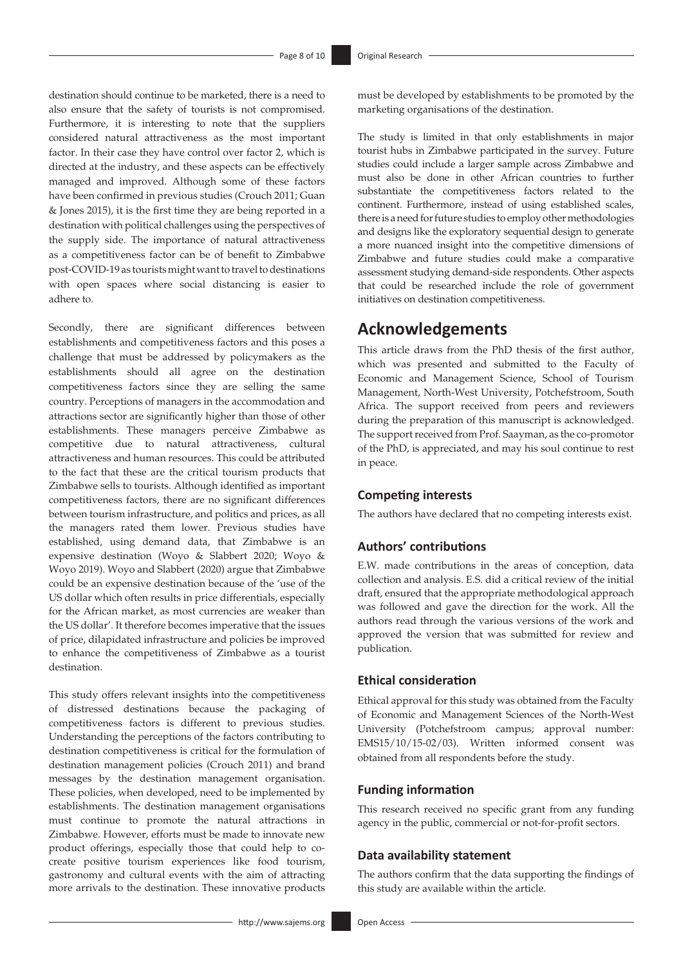destination should continue to be marketed, there is a need to also ensure that the safety of tourists is not compromised. Furthermore, it is interesting to note that the suppliers considered natural attractiveness as the most important factor. In their case they have control over factor 2, which is directed at the industry, and these aspects can be effectively managed and improved. Although some of these factors have been confirmed in previous studies (Crouch 2011; Guan & Jones 2015), it is the first time they are being reported in a destination with political challenges using the perspectives of the supply side. The importance of natural attractiveness as a competitiveness factor can be of benefit to Zimbabwe post-COVID-19 as tourists might want to travel to destinations with open spaces where social distancing is easier to adhere to.

Secondly, there are significant differences between establishments and competitiveness factors and this poses a challenge that must be addressed by policymakers as the establishments should all agree on the destination competitiveness factors since they are selling the same country. Perceptions of managers in the accommodation and attractions sector are significantly higher than those of other establishments. These managers perceive Zimbabwe as competitive due to natural attractiveness, cultural attractiveness and human resources. This could be attributed to the fact that these are the critical tourism products that Zimbabwe sells to tourists. Although identified as important competitiveness factors, there are no significant differences between tourism infrastructure, and politics and prices, as all the managers rated them lower. Previous studies have established, using demand data, that Zimbabwe is an expensive destination (Woyo & Slabbert 2020; Woyo & Woyo 2019). Woyo and Slabbert (2020) argue that Zimbabwe could be an expensive destination because of the 'use of the US dollar which often results in price differentials, especially for the African market, as most currencies are weaker than the US dollar'. It therefore becomes imperative that the issues of price, dilapidated infrastructure and policies be improved to enhance the competitiveness of Zimbabwe as a tourist destination.

This study offers relevant insights into the competitiveness of distressed destinations because the packaging of competitiveness factors is different to previous studies. Understanding the perceptions of the factors contributing to destination competitiveness is critical for the formulation of destination management policies (Crouch 2011) and brand messages by the destination management organisation. These policies, when developed, need to be implemented by establishments. The destination management organisations must continue to promote the natural attractions in Zimbabwe. However, efforts must be made to innovate new product offerings, especially those that could help to cocreate positive tourism experiences like food tourism, gastronomy and cultural events with the aim of attracting more arrivals to the destination. These innovative products

must be developed by establishments to be promoted by the marketing organisations of the destination.

The study is limited in that only establishments in major tourist hubs in Zimbabwe participated in the survey. Future studies could include a larger sample across Zimbabwe and must also be done in other African countries to further substantiate the competitiveness factors related to the continent. Furthermore, instead of using established scales, there is a need for future studies to employ other methodologies and designs like the exploratory sequential design to generate a more nuanced insight into the competitive dimensions of Zimbabwe and future studies could make a comparative assessment studying demand-side respondents. Other aspects that could be researched include the role of government initiatives on destination competitiveness.

### **Acknowledgements**

This article draws from the PhD thesis of the first author, which was presented and submitted to the Faculty of Economic and Management Science, School of Tourism Management, North-West University, Potchefstroom, South Africa. The support received from peers and reviewers during the preparation of this manuscript is acknowledged. The support received from Prof. Saayman, as the co-promotor of the PhD, is appreciated, and may his soul continue to rest in peace.

### **Competing interests**

The authors have declared that no competing interests exist.

### **Authors' contributions**

E.W. made contributions in the areas of conception, data collection and analysis. E.S. did a critical review of the initial draft, ensured that the appropriate methodological approach was followed and gave the direction for the work. All the authors read through the various versions of the work and approved the version that was submitted for review and publication.

### **Ethical consideration**

Ethical approval for this study was obtained from the Faculty of Economic and Management Sciences of the North-West University (Potchefstroom campus; approval number: EMS15/10/15-02/03). Written informed consent was obtained from all respondents before the study.

### **Funding information**

This research received no specific grant from any funding agency in the public, commercial or not-for-profit sectors.

#### **Data availability statement**

The authors confirm that the data supporting the findings of this study are available within the article.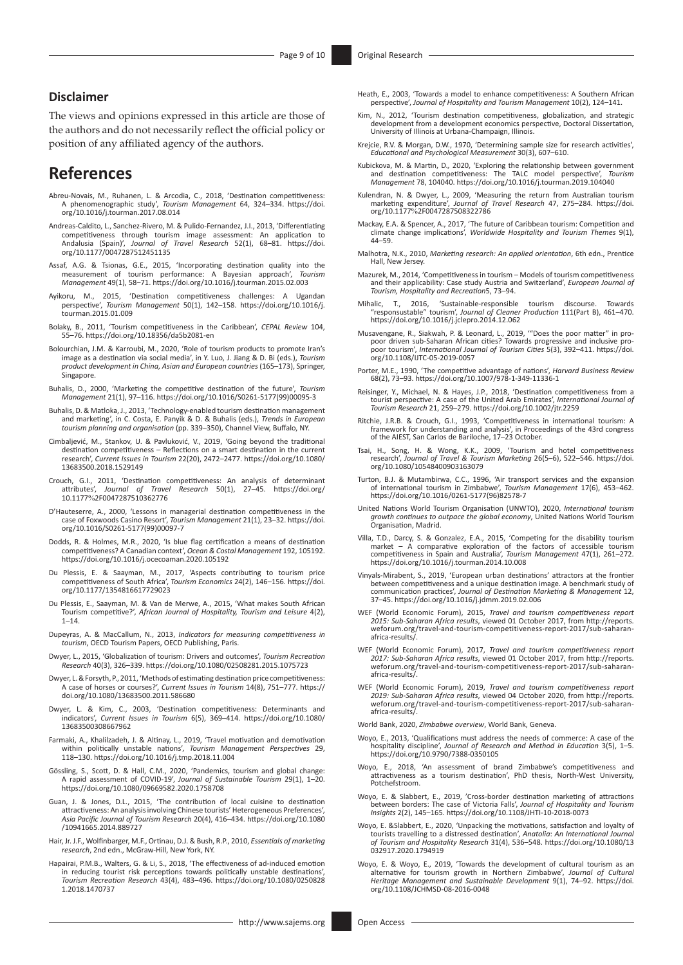### **Disclaimer**

The views and opinions expressed in this article are those of the authors and do not necessarily reflect the official policy or position of any affiliated agency of the authors.

# **References**

- Abreu-Novais, M., Ruhanen, L. & Arcodia, C., 2018, 'Destination competitiveness: A phenomenographic study', *Tourism Management* 64, 324–334. [https://doi.](https://doi.org/10.1016/j.tourman.2017.08.014) [org/10.1016/j.tourman.2017.08.014](https://doi.org/10.1016/j.tourman.2017.08.014)
- Andreas-Caldito, L., Sanchez-Rivero, M. & Pulido-Fernandez, J.I., 2013, 'Differentiating competitiveness through tourism image assessment: An application to Andalusia (Spain)', *Journal of Travel Research* 52(1), 68–81. [https://doi.](https://doi.org/10.1177/0047287512451135) [org/10.1177/0047287512451135](https://doi.org/10.1177/0047287512451135)
- Assaf, A.G. & Tsionas, G.E., 2015, 'Incorporating destination quality into the measurement of tourism performance: A Bayesian approach', *Tourism Management* 49(1), 58–71.<https://doi.org/10.1016/j.tourman.2015.02.003>
- Ayikoru, M., 2015, 'Destination competitiveness challenges: A Ugandan perspective', *Tourism Management* 50(1), 142–158. [https://doi.org/10.1016/j.](https://doi.org/10.1016/j.tourman.2015.01.009) [tourman.2015.01.009](https://doi.org/10.1016/j.tourman.2015.01.009)
- Bolaky, B., 2011, 'Tourism competitiveness in the Caribbean', *CEPAL Review* 104, 55–76. <https://doi.org/10.18356/da5b2081-en>
- Bolourchian, J.M. & Karroubi, M., 2020, 'Role of tourism products to promote Iran's image as a destination via social media', in Y. Luo, J. Jiang & D. Bi (eds.), *Tourism product development in China, Asian and European countries* (165–173), Springer, Singapore.
- Buhalis, D., 2000, 'Marketing the competitive destination of the future', *Tourism Management* 21(1), 97–116. [https://doi.org/10.1016/S0261-5177\(99\)00095-3](https://doi.org/10.1016/S0261-5177(99)00095-3)
- Buhalis, D. & Matloka, J., 2013, 'Technology-enabled tourism destination management and marketing', in C. Costa, E. Panyik & D. & Buhalis (eds.), *Trends in European tourism planning and organisation* (pp. 339–350), Channel View, Buffalo, NY.
- Cimbaljević, M., Stankov, U. & Pavluković, V., 2019, 'Going beyond the traditional destination competitiveness Reflections on a smart destination in the current research', *Current Issues in Tourism* 22(20), 2472–2477. [https://doi.org/10.1080/](https://doi.org/10.1080/13683500.2018.1529149) [13683500.2018.1529149](https://doi.org/10.1080/13683500.2018.1529149)
- Crouch, G.I., 2011, 'Destination competitiveness: An analysis of determinant attributes', *Journal of Travel Research* 50(1), 27–45. [https://doi.org/](https://doi.org/10.1177%2F0047287510362776) 10.1177%[2F0047287510362776](https://doi.org/10.1177%2F0047287510362776)
- D'Hauteserre, A., 2000, 'Lessons in managerial destination competitiveness in the case of Foxwoods Casino Resort', *Tourism Management* 21(1), 23–32. [https://doi.](https://doi.org/10.1016/S0261-5177(99)00097-7) [org/10.1016/S0261-5177\(99\)00097-7](https://doi.org/10.1016/S0261-5177(99)00097-7)
- Dodds, R. & Holmes, M.R., 2020, 'Is blue flag certification a means of destination competitiveness? A Canadian context', *Ocean & Costal Management* 192, 105192. <https://doi.org/10.1016/j.ocecoaman.2020.105192>
- Du Plessis, E. & Saayman, M., 2017, 'Aspects contributing to tourism price competitiveness of South Africa', *Tourism Economics* 24(2), 146–156. [https://doi.](https://doi.org/10.1177/1354816617729023) [org/10.1177/1354816617729023](https://doi.org/10.1177/1354816617729023)
- Du Plessis, E., Saayman, M. & Van de Merwe, A., 2015, 'What makes South African Tourism competitive?', *African Journal of Hospitality, Tourism and Leisure* 4(2), 1–14.
- Dupeyras, A. & MacCallum, N., 2013, *Indicators for measuring competitiveness in tourism*, OECD Tourism Papers, OECD Publishing, Paris.
- Dwyer, L., 2015, 'Globalization of tourism: Drivers and outcomes', *Tourism Recreation Research* 40(3), 326–339.<https://doi.org/10.1080/02508281.2015.1075723>
- Dwyer, L. & Forsyth, P., 2011, 'Methods of estimating destination price competitiveness: A case of horses or courses?', *Current Issues in Tourism* 14(8), 751–777. [https://](https://doi.org/10.1080/13683500.2011.586680) [doi.org/10.1080/13683500.2011.586680](https://doi.org/10.1080/13683500.2011.586680)
- Dwyer, L. & Kim, C., 2003, 'Destination competitiveness: Determinants and indicators', *Current Issues in Tourism* 6(5), 369–414. [https://doi.org/10.1080/](https://doi.org/10.1080/13683500308667962) [13683500308667962](https://doi.org/10.1080/13683500308667962)
- Farmaki, A., Khalilzadeh, J. & Altinay, L., 2019, 'Travel motivation and demotivation within politically unstable nations', *Tourism Management Perspectives* 29, 118–130. <https://doi.org/10.1016/j.tmp.2018.11.004>
- Gössling, S., Scott, D. & Hall, C.M., 2020, 'Pandemics, tourism and global change: A rapid assessment of COVID-19', *Journal of Sustainable Tourism* 29(1), 1–20. <https://doi.org/10.1080/09669582.2020.1758708>
- Guan, J. & Jones, D.L., 2015, 'The contribution of local cuisine to destination attractiveness: An analysis involving Chinese tourists' Heterogeneous Preferences', *Asia Pacific Journal of Tourism Research* 20(4), 416–434. [https://doi.org/10.1080](https://doi.org/10.1080/10941665.2014.889727) [/10941665.2014.889727](https://doi.org/10.1080/10941665.2014.889727)
- Hair, Jr. J.F., Wolfinbarger, M.F., Ortinau, D.J. & Bush, R.P., 2010, *Essentials of marketing research*, 2nd edn., McGraw-Hill, New York, NY.
- Hapairai, P.M.B., Walters, G. & Li, S., 2018, 'The effectiveness of ad-induced emotion in reducing tourist risk perceptions towards politically unstable destinations', *Tourism Recreation Research* 43(4), 483–496. [https://doi.org/10.1080/0250828](https://doi.org/10.1080/02508281.2018.1470737) [1.2018.1470737](https://doi.org/10.1080/02508281.2018.1470737)
- Heath, E., 2003, 'Towards a model to enhance competitiveness: A Southern African perspective', *Journal of Hospitality and Tourism Management* 10(2), 124–141.
- Kim, N., 2012, 'Tourism destination competitiveness, globalization, and strategic development from a development economics perspective, Doctoral Dissertation, University of Illinois at Urbana-Champaign, Illinois.
- Krejcie, R.V. & Morgan, D.W., 1970, 'Determining sample size for research activities', *Educational and Psychological Measurement* 30(3), 607–610.
- Kubickova, M. & Martin, D., 2020, 'Exploring the relationship between government<br>and destination competitiveness: The TALC model perspective', Tourism<br>Management 78, 104040.<https://doi.org/10.1016/j.tourman.2019.104040>
- Kulendran, N. & Dwyer, L., 2009, 'Measuring the return from Australian tourism marketing expenditure', *Journal of Travel Research* 47, 275–284. [https://doi.](https://doi.org/10.1177%2F0047287508322786) org/10.1177%[2F0047287508322786](https://doi.org/10.1177%2F0047287508322786)
- Mackay, E.A. & Spencer, A., 2017, 'The future of Caribbean tourism: Competition and climate change implications', *Worldwide Hospitality and Tourism Themes* 9(1), 44–59.
- Malhotra, N.K., 2010, *Marketing research: An applied orientation*, 6th edn., Prentice Hall, New Jersey.
- Mazurek, M., 2014, 'Competitiveness in tourism Models of tourism competitiveness and their applicability: Case study Austria and Switzerland', *European Journal of Tourism, Hospitality and Recreation*5, 73–94.
- Mihalic, T., 2016, 'Sustainable-responsible tourism discourse. Towards "responsustable" tourism', *Journal of Cleaner Production* 111(Part B), 461–470. <https://doi.org/10.1016/j.jclepro.2014.12.062>
- Musavengane, R., Siakwah, P. & Leonard, L., 2019, '"Does the poor matter" in pro-poor driven sub-Saharan African cities? Towards progressive and inclusive propoor tourism', *International Journal of Tourism Cities* 5(3), 392–411. [https://doi.](https://doi.org/10.1108/IJTC-05-2019-0057) [org/10.1108/IJTC-05-2019-0057](https://doi.org/10.1108/IJTC-05-2019-0057)
- Porter, M.E., 1990, 'The competitive advantage of nations', *Harvard Business Review*  68(2), 73–93.<https://doi.org/10.1007/978-1-349-11336-1>
- Reisinger, Y., Michael, N. & Hayes, J.P., 2018, 'Destination competitiveness from a tourist perspective: A case of the United Arab Emirates', *International Journal of Tourism Research* 21, 259–279. <https://doi.org/10.1002/jtr.2259>
- Ritchie, J.R.B. & Crouch, G.I., 1993, 'Competitiveness in international tourism: A framework for understanding and analysis', in Proceedings of the 43rd congress of the AIEST, San Carlos de Bariloche, 17–23 October.
- Tsai, H., Song, H. & Wong, K.K., 2009, 'Tourism and hotel competitiveness research', *Journal of Travel & Tourism Marketing* 26(5–6), 522–546. [https://doi.](https://doi.org/10.1080/10548400903163079) [org/10.1080/10548400903163079](https://doi.org/10.1080/10548400903163079)
- Turton, B.J. & Mutambirwa, C.C., 1996, 'Air transport services and the expansion of international tourism in Zimbabwe', *Tourism Management* 17(6), 453–462. [https://doi.org/10.1016/0261-5177\(96\)82578-7](https://doi.org/10.1016/0261-5177(96)82578-7)
- United Nations World Tourism Organisation (UNWTO), 2020, *International tourism growth continues to outpace the global economy*, United Nations World Tourism Organisation, Madrid.
- Villa, T.D., Darcy, S. & Gonzalez, E.A., 2015, 'Competing for the disability tourism market – A comparative exploration of the factors of accessible tourism competitiveness in Spain and Australia', *Tourism Management* 47(1), 261–272. <https://doi.org/10.1016/j.tourman.2014.10.008>
- Vinyals-Mirabent, S., 2019, 'European urban destinations' attractors at the frontier between competitiveness and a unique destination image. A benchmark study of communication practices', *Journal of Destination Marketing & Management* 12, 37–45.<https://doi.org/10.1016/j.jdmm.2019.02.006>
- WEF (World Economic Forum), 2015, *Travel and tourism competitiveness report 2015: Sub-Saharan Africa results*, viewed 01 October 2017, from [http://reports.](http://reports.weforum.org/travel-and-tourism-competitiveness-report-2017/sub-saharan-africa-results/) [weforum.org/travel-and-tourism-competitiveness-report-2017/sub-saharan](http://reports.weforum.org/travel-and-tourism-competitiveness-report-2017/sub-saharan-africa-results/)[africa-results/.](http://reports.weforum.org/travel-and-tourism-competitiveness-report-2017/sub-saharan-africa-results/)
- WEF (World Economic Forum), 2017, *Travel and tourism competitiveness report 2017: Sub-Saharan Africa results*, viewed 01 October 2017, from [http://reports.](http://reports.weforum.org/travel-and-tourism-competitiveness-report-2017/sub-saharan-africa-results/) [weforum.org/travel-and-tourism-competitiveness-report-2017/sub-saharan](http://reports.weforum.org/travel-and-tourism-competitiveness-report-2017/sub-saharan-africa-results/)[africa-results/.](http://reports.weforum.org/travel-and-tourism-competitiveness-report-2017/sub-saharan-africa-results/)
- WEF (World Economic Forum), 2019, *Travel and tourism competitiveness report 2019: Sub-Saharan Africa results*, viewed 04 October 2020, from [http://reports.](http://reports.weforum.org/travel-and-tourism-competitiveness-report-2017/sub-saharan-africa-results/) [weforum.org/travel-and-tourism-competitiveness-report-2017/sub-saharan](http://reports.weforum.org/travel-and-tourism-competitiveness-report-2017/sub-saharan-africa-results/)[africa-results/.](http://reports.weforum.org/travel-and-tourism-competitiveness-report-2017/sub-saharan-africa-results/)
- World Bank, 2020, *Zimbabwe overview*, World Bank, Geneva.
- Woyo, E., 2013, 'Qualifications must address the needs of commerce: A case of the hospitality discipline', *Journal of Research and Method in Education* 3(5), 1–5. <https://doi.org/10.9790/7388-0350105>
- Woyo, E., 2018, 'An assessment of brand Zimbabwe's competitiveness and attractiveness as a tourism destination', PhD thesis, North-West University, Potchefstroom.
- Woyo, E. & Slabbert, E., 2019, 'Cross-border destination marketing of attractions between borders: The case of Victoria Falls', *Journal of Hospitality and Tourism Insights* 2(2), 145–165.<https://doi.org/10.1108/JHTI-10-2018-0073>
- Woyo, E. &Slabbert, E., 2020, 'Unpacking the motivations, satisfaction and loyalty of tourists travelling to a distressed destination', *Anatolia*: *An International Journal of Tourism and Hospitality Research* 31(4), 536–548. [https://doi.org/10.1080/13](https://doi.org/10.1080/13032917.2020.1794919) [032917.2020.1794919](https://doi.org/10.1080/13032917.2020.1794919)
- Woyo, E. & Woyo, E., 2019, 'Towards the development of cultural tourism as an alternative for tourism growth in Northern Zimbabwe', *Journal of Cultural Heritage Management and Sustainable Development* 9(1), 74–92. [https://doi.](https://doi.org/10.1108/JCHMSD-08-2016-0048) [org/10.1108/JCHMSD-08-2016-0048](https://doi.org/10.1108/JCHMSD-08-2016-0048)